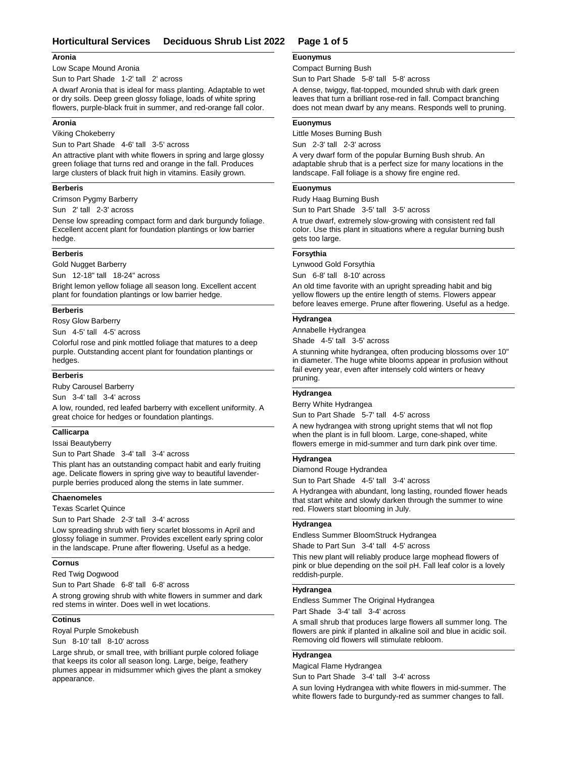## **Horticultural Services Deciduous Shrub List 2022 Page 1 of 5**

#### **Aronia**

Low Scape Mound Aronia

Sun to Part Shade 1-2' tall 2' across

A dwarf Aronia that is ideal for mass planting. Adaptable to wet or dry soils. Deep green glossy foliage, loads of white spring flowers, purple-black fruit in summer, and red-orange fall color.

#### **Aronia**

Viking Chokeberry

Sun to Part Shade 4-6' tall 3-5' across

An attractive plant with white flowers in spring and large glossy green foliage that turns red and orange in the fall. Produces large clusters of black fruit high in vitamins. Easily grown.

#### **Berberis**

Crimson Pygmy Barberry

Sun 2' tall 2-3' across

Dense low spreading compact form and dark burgundy foliage. Excellent accent plant for foundation plantings or low barrier hedge.

### **Berberis**

#### Gold Nugget Barberry

Sun 12-18" tall 18-24" across

Bright lemon yellow foliage all season long. Excellent accent plant for foundation plantings or low barrier hedge.

#### **Berberis**

Rosy Glow Barberry

Sun 4-5' tall 4-5' across

Colorful rose and pink mottled foliage that matures to a deep purple. Outstanding accent plant for foundation plantings or hedges.

#### **Berberis**

Ruby Carousel Barberry

Sun 3-4' tall 3-4' across

A low, rounded, red leafed barberry with excellent uniformity. A great choice for hedges or foundation plantings.

### **Callicarpa**

Issai Beautyberry

Sun to Part Shade 3-4' tall 3-4' across

This plant has an outstanding compact habit and early fruiting age. Delicate flowers in spring give way to beautiful lavenderpurple berries produced along the stems in late summer.

#### **Chaenomeles**

Texas Scarlet Quince

Sun to Part Shade 2-3' tall 3-4' across

Low spreading shrub with fiery scarlet blossoms in April and glossy foliage in summer. Provides excellent early spring color in the landscape. Prune after flowering. Useful as a hedge.

### **Cornus**

Red Twig Dogwood

Sun to Part Shade 6-8' tall 6-8' across

A strong growing shrub with white flowers in summer and dark red stems in winter. Does well in wet locations.

#### **Cotinus**

Royal Purple Smokebush

Sun 8-10' tall 8-10' across

Large shrub, or small tree, with brilliant purple colored foliage that keeps its color all season long. Large, beige, feathery plumes appear in midsummer which gives the plant a smokey appearance.

# **Euonymus**

Compact Burning Bush

Sun to Part Shade 5-8' tall 5-8' across

A dense, twiggy, flat-topped, mounded shrub with dark green leaves that turn a brilliant rose-red in fall. Compact branching does not mean dwarf by any means. Responds well to pruning.

#### **Euonymus**

Little Moses Burning Bush

Sun 2-3' tall 2-3' across

A very dwarf form of the popular Burning Bush shrub. An adaptable shrub that is a perfect size for many locations in the landscape. Fall foliage is a showy fire engine red.

#### **Euonymus**

Rudy Haag Burning Bush

Sun to Part Shade 3-5' tall 3-5' across

A true dwarf, extremely slow-growing with consistent red fall color. Use this plant in situations where a regular burning bush gets too large.

### **Forsythia**

Lynwood Gold Forsythia Sun 6-8' tall 8-10' across

An old time favorite with an upright spreading habit and big yellow flowers up the entire length of stems. Flowers appear before leaves emerge. Prune after flowering. Useful as a hedge.

#### **Hydrangea**

Annabelle Hydrangea

Shade 4-5' tall 3-5' across

A stunning white hydrangea, often producing blossoms over 10" in diameter. The huge white blooms appear in profusion without fail every year, even after intensely cold winters or heavy pruning.

### **Hydrangea**

Berry White Hydrangea

Sun to Part Shade 5-7' tall 4-5' across

A new hydrangea with strong upright stems that wll not flop when the plant is in full bloom. Large, cone-shaped, white flowers emerge in mid-summer and turn dark pink over time.

#### **Hydrangea**

Diamond Rouge Hydrandea

Sun to Part Shade 4-5' tall 3-4' across

A Hydrangea with abundant, long lasting, rounded flower heads that start white and slowly darken through the summer to wine red. Flowers start blooming in July.

#### **Hydrangea**

Endless Summer BloomStruck Hydrangea

Shade to Part Sun 3-4' tall 4-5' across

This new plant will reliably produce large mophead flowers of pink or blue depending on the soil pH. Fall leaf color is a lovely reddish-purple.

### **Hydrangea**

Endless Summer The Original Hydrangea Part Shade 3-4' tall 3-4' across

A small shrub that produces large flowers all summer long. The flowers are pink if planted in alkaline soil and blue in acidic soil. Removing old flowers will stimulate rebloom.

## **Hydrangea**

Magical Flame Hydrangea

Sun to Part Shade 3-4' tall 3-4' across

A sun loving Hydrangea with white flowers in mid-summer. The white flowers fade to burgundy-red as summer changes to fall.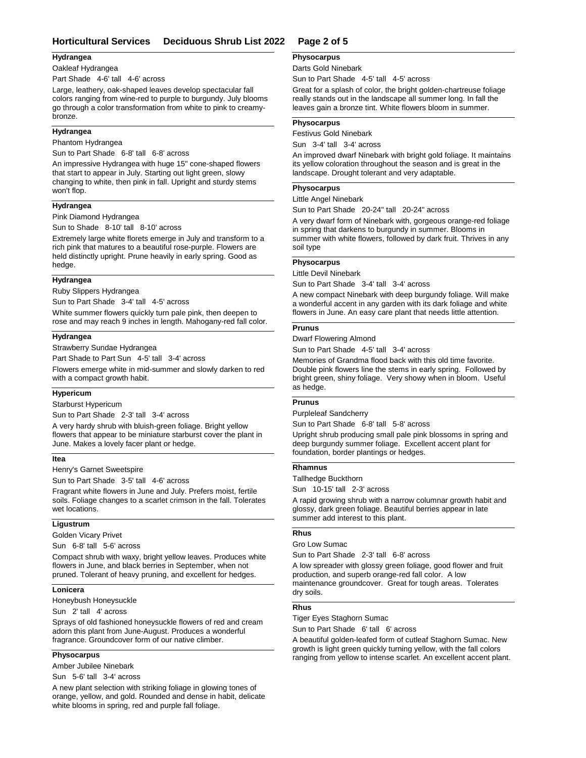### **Horticultural Services Deciduous Shrub List 2022 Page 2 of 5**

#### **Hydrangea**

Oakleaf Hydrangea

Part Shade 4-6' tall 4-6' across

Large, leathery, oak-shaped leaves develop spectacular fall colors ranging from wine-red to purple to burgundy. July blooms go through a color transformation from white to pink to creamybronze.

### **Hydrangea**

Phantom Hydrangea

Sun to Part Shade 6-8' tall 6-8' across

An impressive Hydrangea with huge 15" cone-shaped flowers that start to appear in July. Starting out light green, slowy changing to white, then pink in fall. Upright and sturdy stems won't flop.

### **Hydrangea**

Pink Diamond Hydrangea

Sun to Shade 8-10' tall 8-10' across

Extremely large white florets emerge in July and transform to a rich pink that matures to a beautiful rose-purple. Flowers are held distinctly upright. Prune heavily in early spring. Good as hedge.

#### **Hydrangea**

Ruby Slippers Hydrangea

Sun to Part Shade 3-4' tall 4-5' across

White summer flowers quickly turn pale pink, then deepen to rose and may reach 9 inches in length. Mahogany-red fall color.

### **Hydrangea**

Strawberry Sundae Hydrangea

Part Shade to Part Sun 4-5' tall 3-4' across

Flowers emerge white in mid-summer and slowly darken to red with a compact growth habit.

#### **Hypericum**

Starburst Hypericum

Sun to Part Shade 2-3' tall 3-4' across

A very hardy shrub with bluish-green foliage. Bright yellow flowers that appear to be miniature starburst cover the plant in June. Makes a lovely facer plant or hedge.

### **Itea**

Henry's Garnet Sweetspire

Sun to Part Shade 3-5' tall 4-6' across

Fragrant white flowers in June and July. Prefers moist, fertile soils. Foliage changes to a scarlet crimson in the fall. Tolerates wet locations.

### **Ligustrum**

Golden Vicary Privet

Sun 6-8' tall 5-6' across

Compact shrub with waxy, bright yellow leaves. Produces white flowers in June, and black berries in September, when not pruned. Tolerant of heavy pruning, and excellent for hedges.

### **Lonicera**

Honeybush Honeysuckle

Sun 2' tall 4' across

Sprays of old fashioned honeysuckle flowers of red and cream adorn this plant from June-August. Produces a wonderful fragrance. Groundcover form of our native climber.

### **Physocarpus**

Amber Jubilee Ninebark

Sun 5-6' tall 3-4' across

A new plant selection with striking foliage in glowing tones of orange, yellow, and gold. Rounded and dense in habit, delicate white blooms in spring, red and purple fall foliage.

# **Physocarpus**

Darts Gold Ninebark

Sun to Part Shade 4-5' tall 4-5' across

Great for a splash of color, the bright golden-chartreuse foliage really stands out in the landscape all summer long. In fall the leaves gain a bronze tint. White flowers bloom in summer.

#### **Physocarpus**

Festivus Gold Ninebark

Sun 3-4' tall 3-4' across

An improved dwarf Ninebark with bright gold foliage. It maintains its yellow coloration throughout the season and is great in the landscape. Drought tolerant and very adaptable.

#### **Physocarpus**

#### Little Angel Ninebark

Sun to Part Shade 20-24" tall 20-24" across

A very dwarf form of Ninebark with, gorgeous orange-red foliage in spring that darkens to burgundy in summer. Blooms in summer with white flowers, followed by dark fruit. Thrives in any soil type

#### **Physocarpus**

Little Devil Ninebark

Sun to Part Shade 3-4' tall 3-4' across

A new compact Ninebark with deep burgundy foliage. Will make a wonderful accent in any garden with its dark foliage and white flowers in June. An easy care plant that needs little attention.

#### **Prunus**

Dwarf Flowering Almond

Sun to Part Shade 4-5' tall 3-4' across

Memories of Grandma flood back with this old time favorite. Double pink flowers line the stems in early spring. Followed by bright green, shiny foliage. Very showy when in bloom. Useful as hedge.

## **Prunus**

Purpleleaf Sandcherry

Sun to Part Shade 6-8' tall 5-8' across

Upright shrub producing small pale pink blossoms in spring and deep burgundy summer foliage. Excellent accent plant for foundation, border plantings or hedges.

### **Rhamnus**

Tallhedge Buckthorn

Sun 10-15' tall 2-3' across

A rapid growing shrub with a narrow columnar growth habit and glossy, dark green foliage. Beautiful berries appear in late summer add interest to this plant.

#### **Rhus**

Gro Low Sumac

Sun to Part Shade 2-3' tall 6-8' across

A low spreader with glossy green foliage, good flower and fruit production, and superb orange-red fall color. A low maintenance groundcover. Great for tough areas. Tolerates dry soils.

#### **Rhus**

Tiger Eyes Staghorn Sumac

Sun to Part Shade 6' tall 6' across

A beautiful golden-leafed form of cutleaf Staghorn Sumac. New growth is light green quickly turning yellow, with the fall colors ranging from yellow to intense scarlet. An excellent accent plant.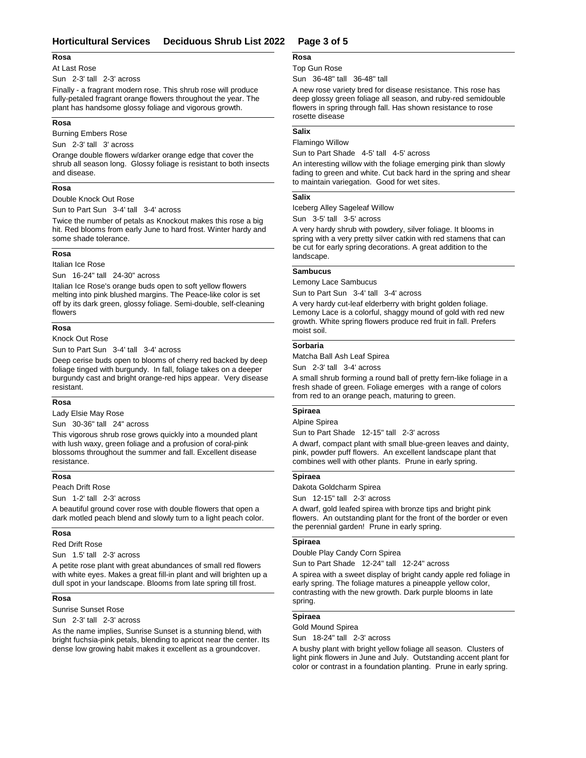### **Rosa**

#### At Last Rose

Sun 2-3' tall 2-3' across

Finally - a fragrant modern rose. This shrub rose will produce fully-petaled fragrant orange flowers throughout the year. The plant has handsome glossy foliage and vigorous growth.

#### **Rosa**

Burning Embers Rose

Sun 2-3' tall 3' across

Orange double flowers w/darker orange edge that cover the shrub all season long. Glossy foliage is resistant to both insects and disease.

### **Rosa**

Double Knock Out Rose

Sun to Part Sun 3-4' tall 3-4' across

Twice the number of petals as Knockout makes this rose a big hit. Red blooms from early June to hard frost. Winter hardy and some shade tolerance.

### **Rosa**

Italian Ice Rose

Sun 16-24" tall 24-30" across

Italian Ice Rose's orange buds open to soft yellow flowers melting into pink blushed margins. The Peace-like color is set off by its dark green, glossy foliage. Semi-double, self-cleaning flowers

#### **Rosa**

Knock Out Rose

Sun to Part Sun 3-4' tall 3-4' across

Deep cerise buds open to blooms of cherry red backed by deep foliage tinged with burgundy. In fall, foliage takes on a deeper burgundy cast and bright orange-red hips appear. Very disease resistant.

### **Rosa**

Lady Elsie May Rose

Sun 30-36" tall 24" across

This vigorous shrub rose grows quickly into a mounded plant with lush waxy, green foliage and a profusion of coral-pink blossoms throughout the summer and fall. Excellent disease resistance.

### **Rosa**

Peach Drift Rose

Sun 1-2' tall 2-3' across

A beautiful ground cover rose with double flowers that open a dark motled peach blend and slowly turn to a light peach color.

#### **Rosa**

Red Drift Rose

Sun 1.5' tall 2-3' across

A petite rose plant with great abundances of small red flowers with white eyes. Makes a great fill-in plant and will brighten up a dull spot in your landscape. Blooms from late spring till frost.

### **Rosa**

Sunrise Sunset Rose

Sun 2-3' tall 2-3' across

As the name implies, Sunrise Sunset is a stunning blend, with bright fuchsia-pink petals, blending to apricot near the center. Its dense low growing habit makes it excellent as a groundcover.

### Top Gun Rose **Rosa**

Sun 36-48" tall 36-48" tall

A new rose variety bred for disease resistance. This rose has deep glossy green foliage all season, and ruby-red semidouble flowers in spring through fall. Has shown resistance to rose rosette disease

## **Salix**

Flamingo Willow Sun to Part Shade 4-5' tall 4-5' across

An interesting willow with the foliage emerging pink than slowly fading to green and white. Cut back hard in the spring and shear to maintain variegation. Good for wet sites.

#### **Salix**

Iceberg Alley Sageleaf Willow

Sun 3-5' tall 3-5' across

A very hardy shrub with powdery, silver foliage. It blooms in spring with a very pretty silver catkin with red stamens that can be cut for early spring decorations. A great addition to the landscape.

### **Sambucus**

Lemony Lace Sambucus

Sun to Part Sun 3-4' tall 3-4' across

A very hardy cut-leaf elderberry with bright golden foliage. Lemony Lace is a colorful, shaggy mound of gold with red new growth. White spring flowers produce red fruit in fall. Prefers moist soil.

#### **Sorbaria**

Matcha Ball Ash Leaf Spirea

Sun 2-3' tall 3-4' across

A small shrub forming a round ball of pretty fern-like foliage in a fresh shade of green. Foliage emerges with a range of colors from red to an orange peach, maturing to green.

#### **Spiraea**

#### Alpine Spirea

Sun to Part Shade 12-15" tall 2-3' across

A dwarf, compact plant with small blue-green leaves and dainty, pink, powder puff flowers. An excellent landscape plant that combines well with other plants. Prune in early spring.

#### **Spiraea**

Dakota Goldcharm Spirea

Sun 12-15" tall 2-3' across

A dwarf, gold leafed spirea with bronze tips and bright pink flowers. An outstanding plant for the front of the border or even the perennial garden! Prune in early spring.

### **Spiraea**

Double Play Candy Corn Spirea

Sun to Part Shade 12-24" tall 12-24" across

A spirea with a sweet display of bright candy apple red foliage in early spring. The foliage matures a pineapple yellow color, contrasting with the new growth. Dark purple blooms in late spring.

#### **Spiraea**

Gold Mound Spirea

Sun 18-24" tall 2-3' across

A bushy plant with bright yellow foliage all season. Clusters of light pink flowers in June and July. Outstanding accent plant for color or contrast in a foundation planting. Prune in early spring.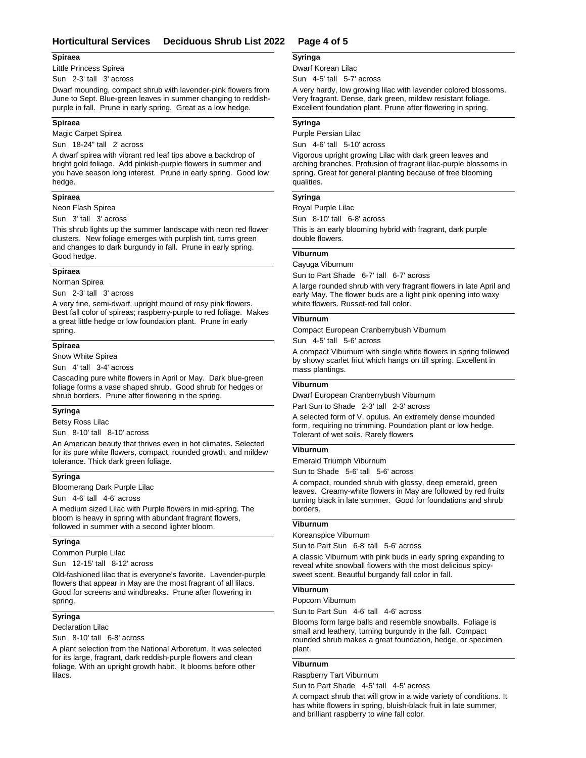### **Horticultural Services Deciduous Shrub List 2022 Page 4 of 5**

#### **Spiraea**

Little Princess Spirea

Sun 2-3' tall 3' across

Dwarf mounding, compact shrub with lavender-pink flowers from June to Sept. Blue-green leaves in summer changing to reddishpurple in fall. Prune in early spring. Great as a low hedge.

#### **Spiraea**

Magic Carpet Spirea

Sun 18-24" tall 2' across

A dwarf spirea with vibrant red leaf tips above a backdrop of bright gold foliage. Add pinkish-purple flowers in summer and you have season long interest. Prune in early spring. Good low hedge.

#### **Spiraea**

Neon Flash Spirea

Sun 3' tall 3' across

This shrub lights up the summer landscape with neon red flower clusters. New foliage emerges with purplish tint, turns green and changes to dark burgundy in fall. Prune in early spring. Good hedge.

#### **Spiraea**

Norman Spirea

Sun 2-3' tall 3' across

A very fine, semi-dwarf, upright mound of rosy pink flowers. Best fall color of spireas; raspberry-purple to red foliage. Makes a great little hedge or low foundation plant. Prune in early spring.

#### **Spiraea**

Snow White Spirea

Sun 4' tall 3-4' across

Cascading pure white flowers in April or May. Dark blue-green foliage forms a vase shaped shrub. Good shrub for hedges or shrub borders. Prune after flowering in the spring.

#### **Syringa**

Betsy Ross Lilac

Sun 8-10' tall 8-10' across

An American beauty that thrives even in hot climates. Selected for its pure white flowers, compact, rounded growth, and mildew tolerance. Thick dark green foliage.

#### **Syringa**

Bloomerang Dark Purple Lilac

Sun 4-6' tall 4-6' across

A medium sized Lilac with Purple flowers in mid-spring. The bloom is heavy in spring with abundant fragrant flowers, followed in summer with a second lighter bloom.

#### **Syringa**

Common Purple Lilac

Sun 12-15' tall 8-12' across

Old-fashioned lilac that is everyone's favorite. Lavender-purple flowers that appear in May are the most fragrant of all lilacs. Good for screens and windbreaks. Prune after flowering in spring.

### **Syringa**

Declaration Lilac

Sun 8-10' tall 6-8' across

A plant selection from the National Arboretum. It was selected for its large, fragrant, dark reddish-purple flowers and clean foliage. With an upright growth habit. It blooms before other lilacs.

#### **Syringa**

Dwarf Korean Lilac

Sun 4-5' tall 5-7' across

A very hardy, low growing lilac with lavender colored blossoms. Very fragrant. Dense, dark green, mildew resistant foliage. Excellent foundation plant. Prune after flowering in spring.

#### **Syringa**

Purple Persian Lilac

Sun 4-6' tall 5-10' across

Vigorous upright growing Lilac with dark green leaves and arching branches. Profusion of fragrant lilac-purple blossoms in spring. Great for general planting because of free blooming qualities.

### **Syringa**

Royal Purple Lilac

Sun 8-10' tall 6-8' across

This is an early blooming hybrid with fragrant, dark purple double flowers.

# **Viburnum**

Cayuga Viburnum Sun to Part Shade 6-7' tall 6-7' across

A large rounded shrub with very fragrant flowers in late April and early May. The flower buds are a light pink opening into waxy white flowers. Russet-red fall color.

### **Viburnum**

Compact European Cranberrybush Viburnum

### Sun 4-5' tall 5-6' across

A compact Viburnum with single white flowers in spring followed by showy scarlet friut which hangs on till spring. Excellent in mass plantings.

#### **Viburnum**

Dwarf European Cranberrybush Viburnum

Part Sun to Shade 2-3' tall 2-3' across

A selected form of V. opulus. An extremely dense mounded form, requiring no trimming. Poundation plant or low hedge. Tolerant of wet soils. Rarely flowers

### **Viburnum**

Emerald Triumph Viburnum

Sun to Shade 5-6' tall 5-6' across

A compact, rounded shrub with glossy, deep emerald, green leaves. Creamy-white flowers in May are followed by red fruits turning black in late summer. Good for foundations and shrub borders.

### **Viburnum**

Koreanspice Viburnum

Sun to Part Sun 6-8' tall 5-6' across

A classic Viburnum with pink buds in early spring expanding to reveal white snowball flowers with the most delicious spicysweet scent. Beautful burgandy fall color in fall.

### **Viburnum**

Popcorn Viburnum

Sun to Part Sun 4-6' tall 4-6' across

Blooms form large balls and resemble snowballs. Foliage is small and leathery, turning burgundy in the fall. Compact rounded shrub makes a great foundation, hedge, or specimen plant.

#### **Viburnum**

Raspberry Tart Viburnum Sun to Part Shade 4-5' tall 4-5' across

A compact shrub that will grow in a wide variety of conditions. It has white flowers in spring, bluish-black fruit in late summer, and brilliant raspberry to wine fall color.